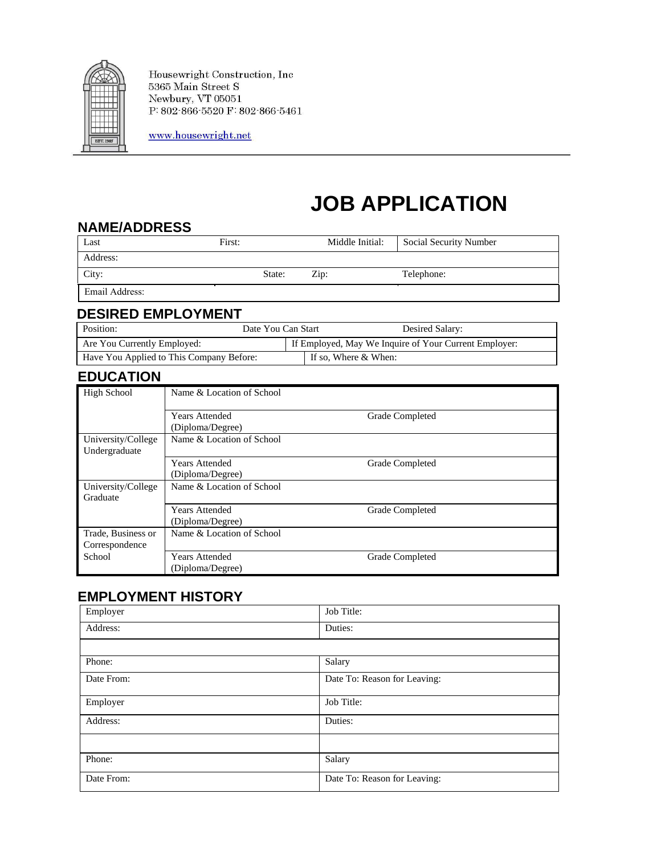

Housewright Construction, Inc  $5365$  Main Street  $\mathcal S$ Newbury, VT 05051  $P: 802.866.5520 F: 802.866.5461$ 

www.housewright.net

# **JOB APPLICATION**

#### **NAME/ADDRESS**

| Last           | First: |        | Middle Initial: | <b>Social Security Number</b> |
|----------------|--------|--------|-----------------|-------------------------------|
| Address:       |        |        |                 |                               |
| City:          |        | State: | $\mathrm{Zip:}$ | Telephone:                    |
| Email Address: |        |        |                 |                               |

### **DESIRED EMPLOYMENT**

| Position:                                | Date You Can Start |  | Desired Salary:                                       |  |
|------------------------------------------|--------------------|--|-------------------------------------------------------|--|
| Are You Currently Employed:              |                    |  | If Employed, May We Inquire of Your Current Employer: |  |
| Have You Applied to This Company Before: |                    |  | If so, Where & When:                                  |  |

# **EDUCATION**

| <b>High School</b>                   | Name & Location of School                 |                 |  |
|--------------------------------------|-------------------------------------------|-----------------|--|
|                                      | <b>Years Attended</b><br>(Diploma/Degree) | Grade Completed |  |
| University/College<br>Undergraduate  | Name & Location of School                 |                 |  |
|                                      | <b>Years Attended</b><br>(Diploma/Degree) | Grade Completed |  |
| University/College<br>Graduate       | Name & Location of School                 |                 |  |
|                                      | <b>Years Attended</b><br>(Diploma/Degree) | Grade Completed |  |
| Trade, Business or<br>Correspondence | Name & Location of School                 |                 |  |
| School                               | <b>Years Attended</b><br>(Diploma/Degree) | Grade Completed |  |

# **EMPLOYMENT HISTORY**

| Employer   | Job Title:                   |
|------------|------------------------------|
| Address:   | Duties:                      |
|            |                              |
| Phone:     | Salary                       |
| Date From: | Date To: Reason for Leaving: |
| Employer   | Job Title:                   |
| Address:   | Duties:                      |
|            |                              |
| Phone:     | Salary                       |
| Date From: | Date To: Reason for Leaving: |